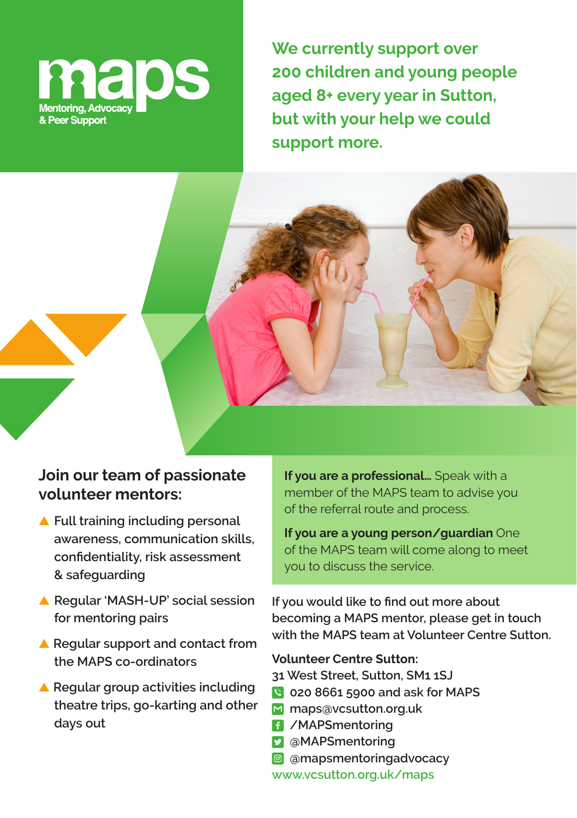

**We currently support over 200 children and young people aged 8+ every year in Sutton, but with your help we could support more.**

## **Join our team of passionate volunteer mentors:**

- ▲ **Full training including personal awareness, communication skills, confidentiality, risk assessment & safeguarding**
- ▲ **Regular 'MASH-UP' social session for mentoring pairs**
- ▲ **Regular support and contact from the MAPS co-ordinators**
- ▲ **Regular group activities including theatre trips, go-karting and other days out**

**If you are a professional…** Speak with a member of the MAPS team to advise you of the referral route and process.

**If you are a young person/guardian** One of the MAPS team will come along to meet you to discuss the service.

**If you would like to find out more about becoming a MAPS mentor, please get in touch with the MAPS team at Volunteer Centre Sutton.**

## **Volunteer Centre Sutton:**

**31 West Street, Sutton, SM1 1SJ**

- **020 8661 5900 and ask for MAPS**
- **maps@vcsutton.org.uk**
- **/MAPSmentoring**
- **@MAPSmentoring**
- **@mapsmentoringadvocacy**

**www.vcsutton.org.uk/maps**